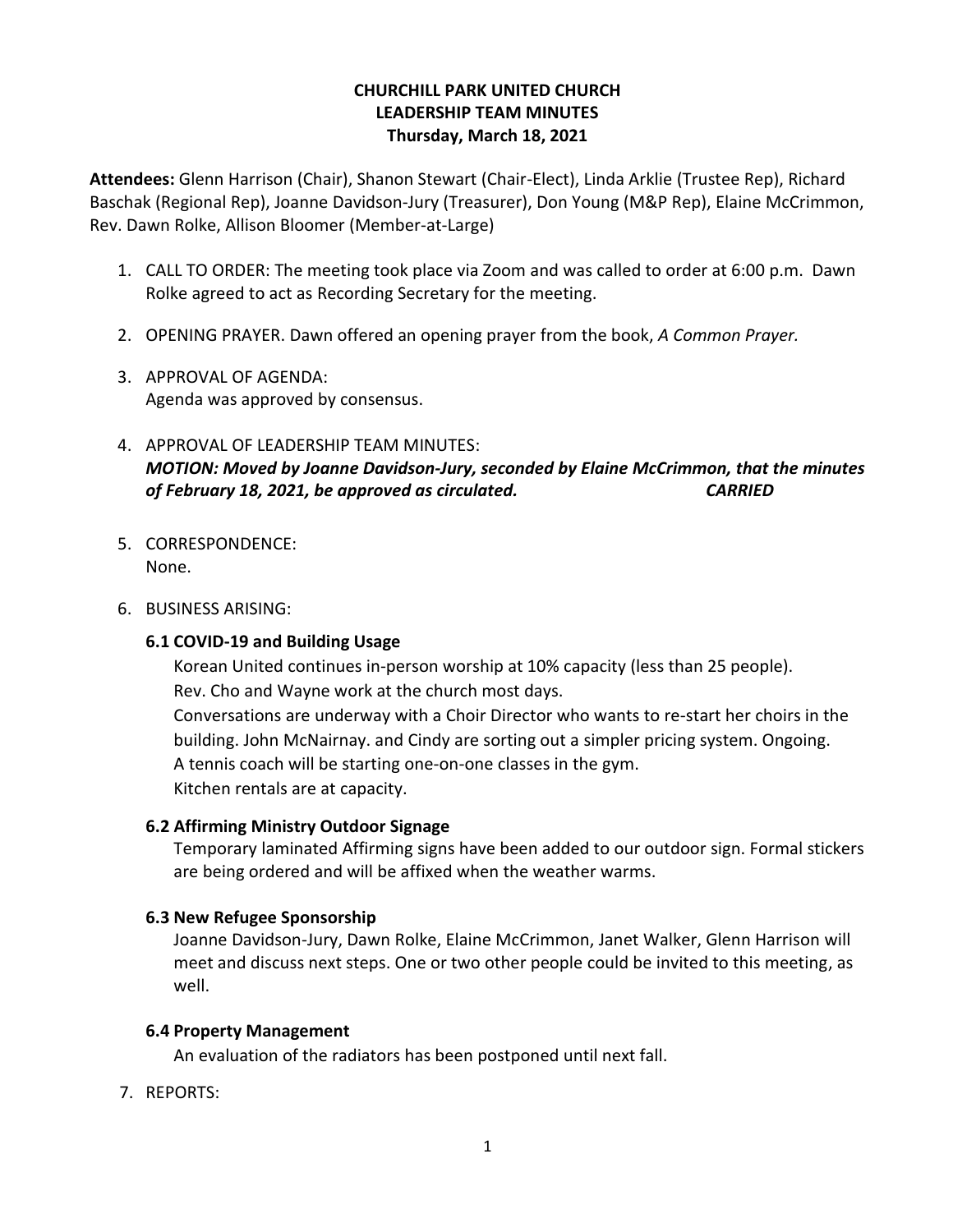# **CHURCHILL PARK UNITED CHURCH LEADERSHIP TEAM MINUTES Thursday, March 18, 2021**

**Attendees:** Glenn Harrison (Chair), Shanon Stewart (Chair-Elect), Linda Arklie (Trustee Rep), Richard Baschak (Regional Rep), Joanne Davidson-Jury (Treasurer), Don Young (M&P Rep), Elaine McCrimmon, Rev. Dawn Rolke, Allison Bloomer (Member-at-Large)

- 1. CALL TO ORDER: The meeting took place via Zoom and was called to order at 6:00 p.m. Dawn Rolke agreed to act as Recording Secretary for the meeting.
- 2. OPENING PRAYER. Dawn offered an opening prayer from the book, *A Common Prayer.*
- 3. APPROVAL OF AGENDA: Agenda was approved by consensus.
- 4. APPROVAL OF LEADERSHIP TEAM MINUTES: *MOTION: Moved by Joanne Davidson-Jury, seconded by Elaine McCrimmon, that the minutes of February 18, 2021, be approved as circulated. CARRIED*
- 5. CORRESPONDENCE: None.
- 6. BUSINESS ARISING:

#### **6.1 COVID-19 and Building Usage**

Korean United continues in-person worship at 10% capacity (less than 25 people). Rev. Cho and Wayne work at the church most days.

Conversations are underway with a Choir Director who wants to re-start her choirs in the building. John McNairnay. and Cindy are sorting out a simpler pricing system. Ongoing. A tennis coach will be starting one-on-one classes in the gym. Kitchen rentals are at capacity.

#### **6.2 Affirming Ministry Outdoor Signage**

Temporary laminated Affirming signs have been added to our outdoor sign. Formal stickers are being ordered and will be affixed when the weather warms.

#### **6.3 New Refugee Sponsorship**

Joanne Davidson-Jury, Dawn Rolke, Elaine McCrimmon, Janet Walker, Glenn Harrison will meet and discuss next steps. One or two other people could be invited to this meeting, as well.

#### **6.4 Property Management**

An evaluation of the radiators has been postponed until next fall.

7. REPORTS: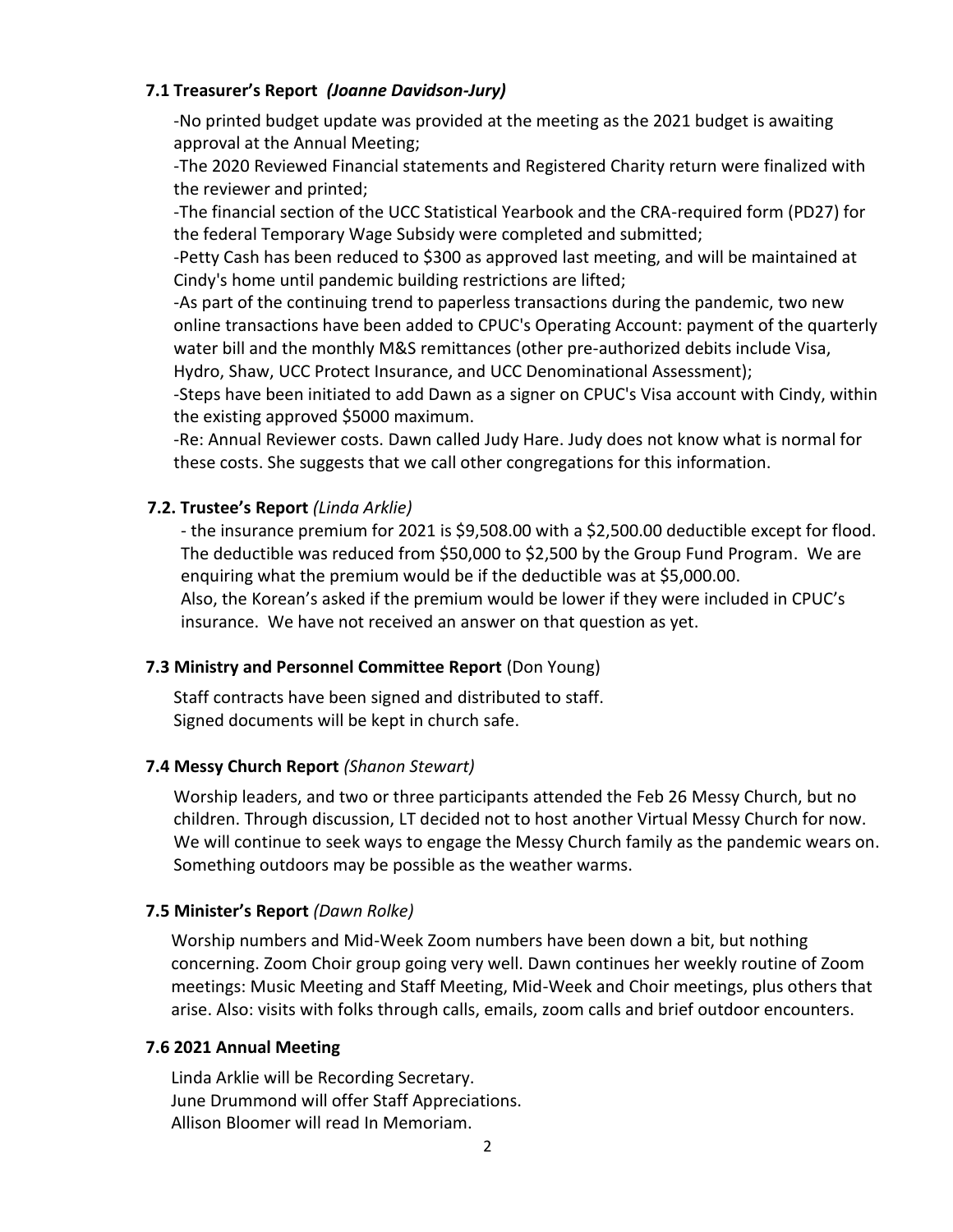### **7.1 Treasurer's Report** *(Joanne Davidson-Jury)*

-No printed budget update was provided at the meeting as the 2021 budget is awaiting approval at the Annual Meeting;

-The 2020 Reviewed Financial statements and Registered Charity return were finalized with the reviewer and printed;

-The financial section of the UCC Statistical Yearbook and the CRA-required form (PD27) for the federal Temporary Wage Subsidy were completed and submitted;

-Petty Cash has been reduced to \$300 as approved last meeting, and will be maintained at Cindy's home until pandemic building restrictions are lifted;

-As part of the continuing trend to paperless transactions during the pandemic, two new online transactions have been added to CPUC's Operating Account: payment of the quarterly water bill and the monthly M&S remittances (other pre-authorized debits include Visa, Hydro, Shaw, UCC Protect Insurance, and UCC Denominational Assessment);

-Steps have been initiated to add Dawn as a signer on CPUC's Visa account with Cindy, within the existing approved \$5000 maximum.

-Re: Annual Reviewer costs. Dawn called Judy Hare. Judy does not know what is normal for these costs. She suggests that we call other congregations for this information.

# **7.2. Trustee's Report** *(Linda Arklie)*

- the insurance premium for 2021 is \$9,508.00 with a \$2,500.00 deductible except for flood. The deductible was reduced from \$50,000 to \$2,500 by the Group Fund Program. We are enquiring what the premium would be if the deductible was at \$5,000.00. Also, the Korean's asked if the premium would be lower if they were included in CPUC's insurance. We have not received an answer on that question as yet.

# **7.3 Ministry and Personnel Committee Report** (Don Young)

Staff contracts have been signed and distributed to staff. Signed documents will be kept in church safe.

# **7.4 Messy Church Report** *(Shanon Stewart)*

Worship leaders, and two or three participants attended the Feb 26 Messy Church, but no children. Through discussion, LT decided not to host another Virtual Messy Church for now. We will continue to seek ways to engage the Messy Church family as the pandemic wears on. Something outdoors may be possible as the weather warms.

# **7.5 Minister's Report** *(Dawn Rolke)*

 Worship numbers and Mid-Week Zoom numbers have been down a bit, but nothing concerning. Zoom Choir group going very well. Dawn continues her weekly routine of Zoom meetings: Music Meeting and Staff Meeting, Mid-Week and Choir meetings, plus others that arise. Also: visits with folks through calls, emails, zoom calls and brief outdoor encounters.

# **7.6 2021 Annual Meeting**

 Linda Arklie will be Recording Secretary. June Drummond will offer Staff Appreciations. Allison Bloomer will read In Memoriam.